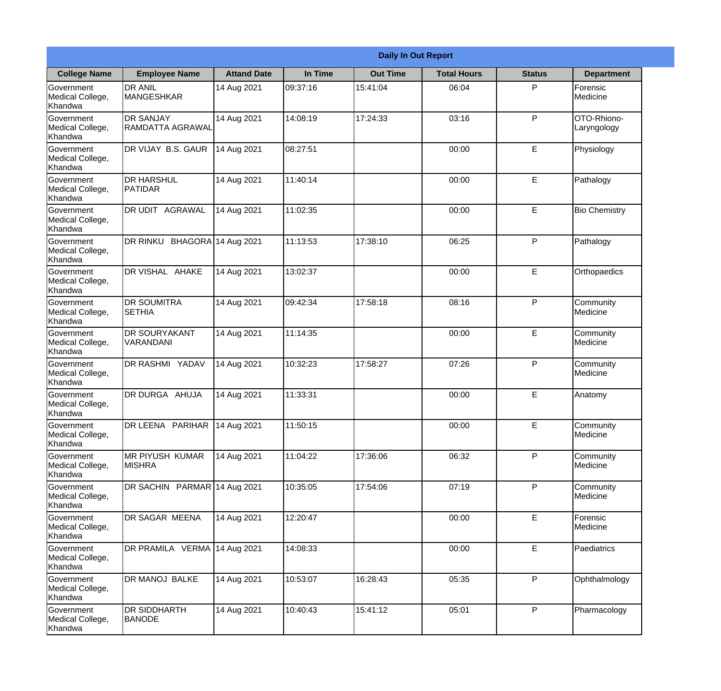|                                                  |                                             |                     |          | <b>Daily In Out Report</b> |                    |               |                            |
|--------------------------------------------------|---------------------------------------------|---------------------|----------|----------------------------|--------------------|---------------|----------------------------|
| <b>College Name</b>                              | <b>Employee Name</b>                        | <b>Attand Date</b>  | In Time  | <b>Out Time</b>            | <b>Total Hours</b> | <b>Status</b> | <b>Department</b>          |
| Government<br>Medical College,<br>Khandwa        | <b>DR ANIL</b><br><b>MANGESHKAR</b>         | 14 Aug 2021         | 09:37:16 | 15:41:04                   | 06:04              | P             | Forensic<br>Medicine       |
| Government<br>Medical College,<br>Khandwa        | <b>DR SANJAY</b><br><b>RAMDATTA AGRAWAL</b> | 14 Aug 2021         | 14:08:19 | 17:24:33                   | 03:16              | P             | OTO-Rhiono-<br>Laryngology |
| <b>Government</b><br>Medical College,<br>Khandwa | DR VIJAY B.S. GAUR                          | 14 Aug 2021         | 08:27:51 |                            | 00:00              | E             | Physiology                 |
| Government<br>Medical College,<br>Khandwa        | <b>DR HARSHUL</b><br>PATIDAR                | 14 Aug 2021         | 11:40:14 |                            | 00:00              | E             | Pathalogy                  |
| <b>Government</b><br>Medical College,<br>Khandwa | <b>DR UDIT AGRAWAL</b>                      | 14 Aug 2021         | 11:02:35 |                            | 00:00              | E             | <b>Bio Chemistry</b>       |
| Government<br>Medical College,<br>Khandwa        | DR RINKU                                    | BHAGORA 14 Aug 2021 | 11:13:53 | 17:38:10                   | 06:25              | P             | Pathalogy                  |
| Government<br>Medical College,<br>Khandwa        | DR VISHAL AHAKE                             | 14 Aug 2021         | 13:02:37 |                            | 00:00              | E             | Orthopaedics               |
| Government<br>Medical College,<br>Khandwa        | <b>DR SOUMITRA</b><br><b>SETHIA</b>         | 14 Aug 2021         | 09:42:34 | 17:58:18                   | 08:16              | P             | Community<br>Medicine      |
| Government<br>Medical College,<br>Khandwa        | <b>DR SOURYAKANT</b><br>VARANDANI           | 14 Aug 2021         | 11:14:35 |                            | 00:00              | E             | Community<br>Medicine      |
| Government<br>Medical College,<br>Khandwa        | DR RASHMI YADAV                             | 14 Aug 2021         | 10:32:23 | 17:58:27                   | 07:26              | P             | Community<br>Medicine      |
| Government<br>Medical College,<br>Khandwa        | DR DURGA AHUJA                              | 14 Aug 2021         | 11:33:31 |                            | 00:00              | E             | Anatomy                    |
| Government<br>Medical College,<br>Khandwa        | DR LEENA PARIHAR                            | 14 Aug 2021         | 11:50:15 |                            | 00:00              | E             | Community<br>Medicine      |
| Government<br>Medical College,<br>Khandwa        | MR PIYUSH KUMAR<br><b>MISHRA</b>            | 14 Aug 2021         | 11:04:22 | 17:36:06                   | 06:32              | P             | Community<br>Medicine      |
| Government<br>Medical College,<br>Khandwa        | DR SACHIN PARMAR 14 Aug 2021                |                     | 10:35:05 | 17:54:06                   | 07:19              | P             | Community<br>Medicine      |
| <b>Government</b><br>Medical College,<br>Khandwa | DR SAGAR MEENA                              | 14 Aug 2021         | 12:20:47 |                            | 00:00              | E             | Forensic<br>Medicine       |
| Government<br>Medical College,<br>Khandwa        | DR PRAMILA VERMA                            | 14 Aug 2021         | 14:08:33 |                            | 00:00              | E             | Paediatrics                |
| Government<br>Medical College,<br>Khandwa        | DR MANOJ BALKE                              | 14 Aug 2021         | 10:53:07 | 16:28:43                   | 05:35              | P             | Ophthalmology              |
| Government<br>Medical College,<br>Khandwa        | <b>DR SIDDHARTH</b><br><b>BANODE</b>        | 14 Aug 2021         | 10:40:43 | 15:41:12                   | 05:01              | P             | Pharmacology               |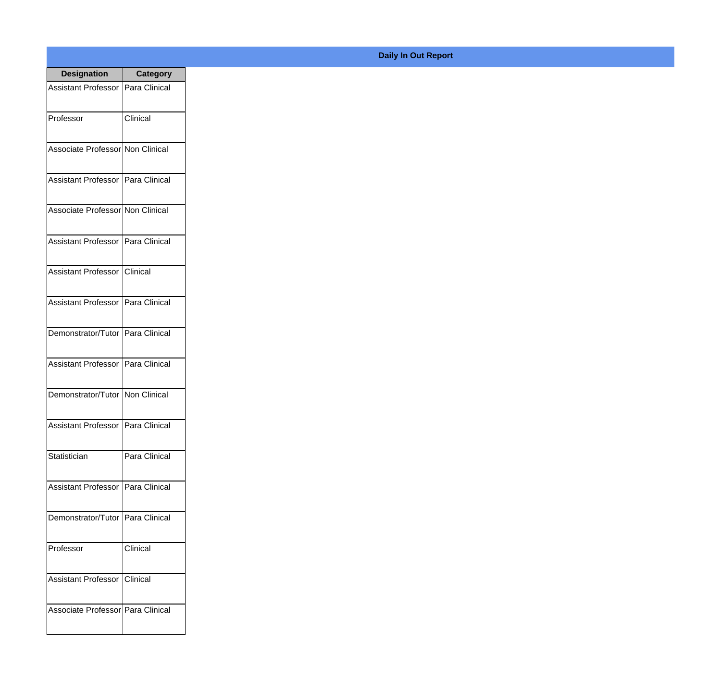| <b>Designation</b>                  | <b>Category</b>      |
|-------------------------------------|----------------------|
| <b>Assistant Professor</b>          | Para Clinical        |
| Professor                           | Clinical             |
| Associate Professor Non Clinical    |                      |
| <b>Assistant Professor</b>          | Para Clinical        |
| Associate Professor Non Clinical    |                      |
| <b>Assistant Professor</b>          | Para Clinical        |
| <b>Assistant Professor</b>          | <b>Clinical</b>      |
| Assistant Professor   Para Clinical |                      |
| Demonstrator/Tutor   Para Clinical  |                      |
| <b>Assistant Professor</b>          | Para Clinical        |
| Demonstrator/Tutor                  | Non Clinical         |
| Assistant Professor   Para Clinical |                      |
| Statistician                        | Para Clinical        |
| <b>Assistant Professor</b>          | <b>Para Clinical</b> |
| Demonstrator/Tutor                  | Para Clinical        |
| Professor                           | Clinical             |
| <b>Assistant Professor</b>          | <b>Clinical</b>      |
| Associate Professor Para Clinical   |                      |

## **Daily In Out Report**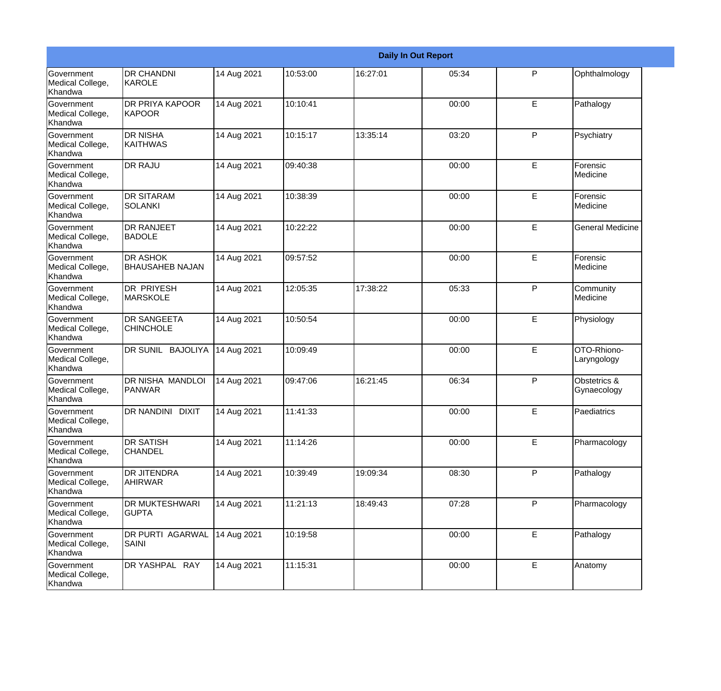|                                                  |                                           |             |          |          | <b>Daily In Out Report</b> |   |                             |
|--------------------------------------------------|-------------------------------------------|-------------|----------|----------|----------------------------|---|-----------------------------|
| Government<br>Medical College,<br>Khandwa        | <b>DR CHANDNI</b><br>KAROLE               | 14 Aug 2021 | 10:53:00 | 16:27:01 | 05:34                      | P | Ophthalmology               |
| <b>Government</b><br>Medical College,<br>Khandwa | <b>DR PRIYA KAPOOR</b><br><b>KAPOOR</b>   | 14 Aug 2021 | 10:10:41 |          | 00:00                      | E | Pathalogy                   |
| <b>Government</b><br>Medical College,<br>Khandwa | <b>DR NISHA</b><br><b>KAITHWAS</b>        | 14 Aug 2021 | 10:15:17 | 13:35:14 | 03:20                      | P | Psychiatry                  |
| <b>Government</b><br>Medical College,<br>Khandwa | <b>DR RAJU</b>                            | 14 Aug 2021 | 09:40:38 |          | 00:00                      | E | Forensic<br>Medicine        |
| <b>Government</b><br>Medical College,<br>Khandwa | <b>DR SITARAM</b><br><b>SOLANKI</b>       | 14 Aug 2021 | 10:38:39 |          | 00:00                      | E | Forensic<br>Medicine        |
| Government<br>Medical College,<br>Khandwa        | <b>DR RANJEET</b><br><b>BADOLE</b>        | 14 Aug 2021 | 10:22:22 |          | 00:00                      | E | <b>General Medicine</b>     |
| Government<br>Medical College,<br>Khandwa        | <b>DR ASHOK</b><br><b>BHAUSAHEB NAJAN</b> | 14 Aug 2021 | 09:57:52 |          | 00:00                      | E | Forensic<br>Medicine        |
| Government<br>Medical College,<br>Khandwa        | DR PRIYESH<br><b>MARSKOLE</b>             | 14 Aug 2021 | 12:05:35 | 17:38:22 | 05:33                      | P | Community<br>Medicine       |
| <b>Government</b><br>Medical College,<br>Khandwa | DR SANGEETA<br><b>CHINCHOLE</b>           | 14 Aug 2021 | 10:50:54 |          | 00:00                      | E | Physiology                  |
| <b>Government</b><br>Medical College,<br>Khandwa | DR SUNIL BAJOLIYA                         | 14 Aug 2021 | 10:09:49 |          | 00:00                      | E | OTO-Rhiono-<br>Laryngology  |
| Government<br>Medical College,<br>Khandwa        | DR NISHA MANDLOI<br><b>PANWAR</b>         | 14 Aug 2021 | 09:47:06 | 16:21:45 | 06:34                      | P | Obstetrics &<br>Gynaecology |
| Government<br>Medical College,<br>Khandwa        | DR NANDINI<br><b>DIXIT</b>                | 14 Aug 2021 | 11:41:33 |          | 00:00                      | E | Paediatrics                 |
| Government<br>Medical College,<br>Khandwa        | <b>DR SATISH</b><br><b>CHANDEL</b>        | 14 Aug 2021 | 11:14:26 |          | 00:00                      | E | Pharmacology                |
| Government<br>Medical College,<br>Khandwa        | <b>DR JITENDRA</b><br><b>AHIRWAR</b>      | 14 Aug 2021 | 10:39:49 | 19:09:34 | 08:30                      | P | Pathalogy                   |
| Government<br>Medical College,<br>Khandwa        | <b>DR MUKTESHWARI</b><br><b>GUPTA</b>     | 14 Aug 2021 | 11:21:13 | 18:49:43 | 07:28                      | P | Pharmacology                |
| Government<br>Medical College,<br>Khandwa        | DR PURTI AGARWAL<br>SAINI                 | 14 Aug 2021 | 10:19:58 |          | 00:00                      | E | Pathalogy                   |
| Government<br>Medical College,<br>Khandwa        | DR YASHPAL RAY                            | 14 Aug 2021 | 11:15:31 |          | 00:00                      | E | Anatomy                     |